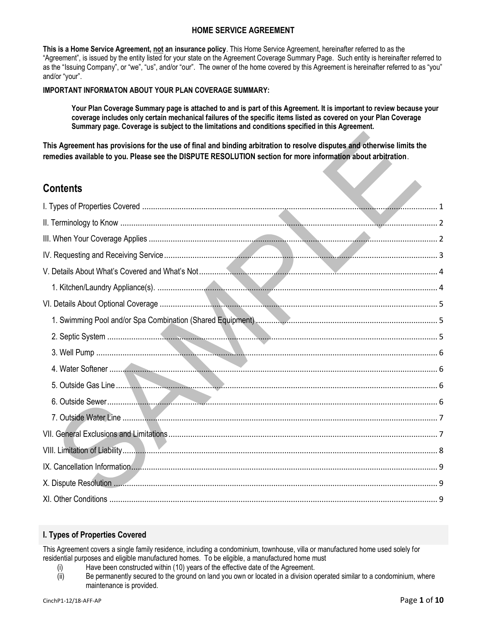## **HOME SERVICE AGREEMENT**

**This is a Home Service Agreement, not an insurance policy**. This Home Service Agreement, hereinafter referred to as the "Agreement", is issued by the entity listed for your state on the Agreement Coverage Summary Page. Such entity is hereinafter referred to as the "Issuing Company", or "we", "us", and/or "our". The owner of the home covered by this Agreement is hereinafter referred to as "you" and/or "your".

## **IMPORTANT INFORMATON ABOUT YOUR PLAN COVERAGE SUMMARY:**

**Your Plan Coverage Summary page is attached to and is part of this Agreement. It is important to review because your coverage includes only certain mechanical failures of the specific items listed as covered on your Plan Coverage Summary page. Coverage is subject to the limitations and conditions specified in this Agreement.**

**This Agreement has provisions for the use of final and binding arbitration to resolve disputes and otherwise limits the remedies available to you. Please see the DISPUTE RESOLUTION section for more information about arbitration**.

# **Contents**

## <span id="page-0-0"></span>**I. Types of Properties Covered**

This Agreement covers a single family residence, including a condominium, townhouse, villa or manufactured home used solely for residential purposes and eligible manufactured homes. To be eligible, a manufactured home must

- (i) Have been constructed within (10) years of the effective date of the Agreement.
- (ii) Be permanently secured to the ground on land you own or located in a division operated similar to a condominium, where maintenance is provided.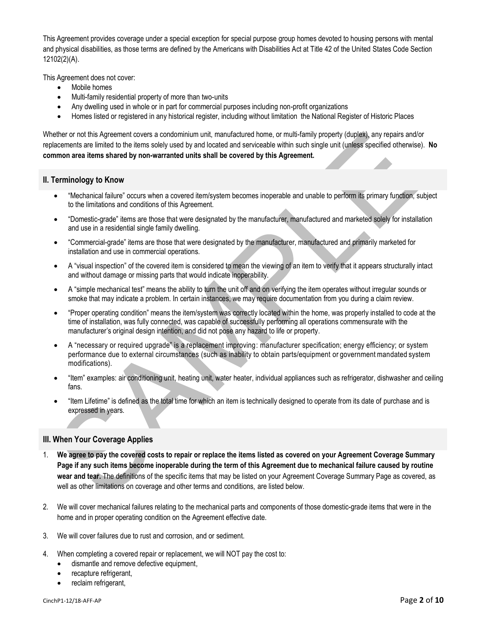This Agreement provides coverage under a special exception for special purpose group homes devoted to housing persons with mental and physical disabilities, as those terms are defined by the Americans with Disabilities Act at Title 42 of the United States Code Section 12102(2)(A).

This Agreement does not cover:

- Mobile homes
- Multi-family residential property of more than two-units
- Any dwelling used in whole or in part for commercial purposes including non-profit organizations
- Homes listed or registered in any historical register, including without limitation the National Register of Historic Places

Whether or not this Agreement covers a condominium unit, manufactured home, or multi-family property (duplex), any repairs and/or replacements are limited to the items solely used by and located and serviceable within such single unit (unless specified otherwise). **No common area items shared by non-warranted units shall be covered by this Agreement.**

## <span id="page-1-0"></span>**II. Terminology to Know**

- "Mechanical failure" occurs when a covered item/system becomes inoperable and unable to perform its primary function, subject to the limitations and conditions of this Agreement.
- "Domestic-grade" items are those that were designated by the manufacturer, manufactured and marketed solely for installation and use in a residential single family dwelling.
- "Commercial-grade" items are those that were designated by the manufacturer, manufactured and primarily marketed for installation and use in commercial operations.
- A "visual inspection" of the covered item is considered to mean the viewing of an item to verify that it appears structurally intact and without damage or missing parts that would indicate inoperability.
- A "simple mechanical test" means the ability to turn the unit off and on verifying the item operates without irregular sounds or smoke that may indicate a problem. In certain instances, we may require documentation from you during a claim review.
- "Proper operating condition" means the item/system was correctly located within the home, was properly installed to code at the time of installation, was fully connected, was capable of successfully performing all operations commensurate with the manufacturer's original design intention, and did not pose any hazard to life or property.
- A "necessary or required upgrade" is a replacement improving: manufacturer specification; energy efficiency; or system performance due to external circumstances (such as inability to obtain parts/equipment or government mandated system modifications).
- "Item" examples: air conditioning unit, heating unit, water heater, individual appliances such as refrigerator, dishwasher and ceiling fans.
- "Item Lifetime" is defined as the total time for which an item is technically designed to operate from its date of purchase and is expressed in years.

## <span id="page-1-1"></span>**III. When Your Coverage Applies**

- 1. **We agree to pay the covered costs to repair or replace the items listed as covered on your Agreement Coverage Summary Page if any such items become inoperable during the term of this Agreement due to mechanical failure caused by routine wear and tear.** The definitions of the specific items that may be listed on your Agreement Coverage Summary Page as covered, as well as other limitations on coverage and other terms and conditions, are listed below.
- 2. We will cover mechanical failures relating to the mechanical parts and components of those domestic-grade items that were in the home and in proper operating condition on the Agreement effective date.
- 3. We will cover failures due to rust and corrosion, and or sediment.
- 4. When completing a covered repair or replacement, we will NOT pay the cost to:
	- dismantle and remove defective equipment,
	- recapture refrigerant,
	- reclaim refrigerant,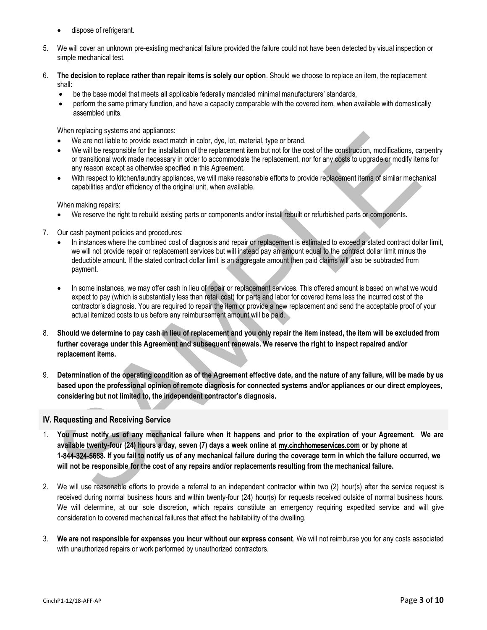- dispose of refrigerant.
- 5. We will cover an unknown pre-existing mechanical failure provided the failure could not have been detected by visual inspection or simple mechanical test.
- 6. **The decision to replace rather than repair items is solely our option**. Should we choose to replace an item, the replacement shall:
	- be the base model that meets all applicable federally mandated minimal manufacturers' standards,
	- perform the same primary function, and have a capacity comparable with the covered item, when available with domestically assembled units.

When replacing systems and appliances:

- We are not liable to provide exact match in color, dye, lot, material, type or brand.
- We will be responsible for the installation of the replacement item but not for the cost of the construction, modifications, carpentry or transitional work made necessary in order to accommodate the replacement, nor for any costs to upgrade or modify items for any reason except as otherwise specified in this Agreement.
- With respect to kitchen/laundry appliances, we will make reasonable efforts to provide replacement items of similar mechanical capabilities and/or efficiency of the original unit, when available.

When making repairs:

- We reserve the right to rebuild existing parts or components and/or install rebuilt or refurbished parts or components.
- 7. Our cash payment policies and procedures:
	- In instances where the combined cost of diagnosis and repair or replacement is estimated to exceed a stated contract dollar limit, we will not provide repair or replacement services but will instead pay an amount equal to the contract dollar limit minus the deductible amount. If the stated contract dollar limit is an aggregate amount then paid claims will also be subtracted from payment.
	- In some instances, we may offer cash in lieu of repair or replacement services. This offered amount is based on what we would expect to pay (which is substantially less than retail cost) for parts and labor for covered items less the incurred cost of the contractor's diagnosis. You are required to repair the item or provide a new replacement and send the acceptable proof of your actual itemized costs to us before any reimbursement amount will be paid.
- 8. **Should we determine to pay cash in lieu of replacement and you only repair the item instead, the item will be excluded from further coverage under this Agreement and subsequent renewals. We reserve the right to inspect repaired and/or replacement items.**
- 9. **Determination of the operating condition as of the Agreement effective date, and the nature of any failure, will be made by us based upon the professional opinion of remote diagnosis for connected systems and/or appliances or our direct employees, considering but not limited to, the independent contractor's diagnosis.**

## <span id="page-2-0"></span>**IV. Requesting and Receiving Service**

- 1. **You must notify us of any mechanical failure when it happens and prior to the expiration of your Agreement. We are available twenty-four (24) hours a day, seven (7) days a week online at** [my.cinchhom](http://www.x.com/)eservices.**com or by phone at 1-**844-324-5688**. If you fail to notify us of any mechanical failure during the coverage term in which the failure occurred, we will not be responsible for the cost of any repairs and/or replacements resulting from the mechanical failure.**
- 2. We will use reasonable efforts to provide a referral to an independent contractor within two (2) hour(s) after the service request is received during normal business hours and within twenty-four (24) hour(s) for requests received outside of normal business hours. We will determine, at our sole discretion, which repairs constitute an emergency requiring expedited service and will give consideration to covered mechanical failures that affect the habitability of the dwelling.
- 3. **We are not responsible for expenses you incur without our express consent**. We will not reimburse you for any costs associated with unauthorized repairs or work performed by unauthorized contractors.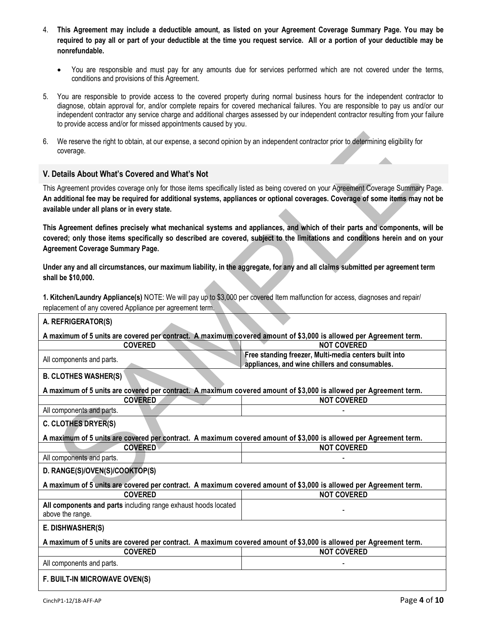- 4. **This Agreement may include a deductible amount, as listed on your Agreement Coverage Summary Page. You may be required to pay all or part of your deductible at the time you request service. All or a portion of your deductible may be nonrefundable.**
	- You are responsible and must pay for any amounts due for services performed which are not covered under the terms, conditions and provisions of this Agreement.
- 5. You are responsible to provide access to the covered property during normal business hours for the independent contractor to diagnose, obtain approval for, and/or complete repairs for covered mechanical failures. You are responsible to pay us and/or our independent contractor any service charge and additional charges assessed by our independent contractor resulting from your failure to provide access and/or for missed appointments caused by you.
- 6. We reserve the right to obtain, at our expense, a second opinion by an independent contractor prior to determining eligibility for coverage.

## <span id="page-3-0"></span>**V. Details About What's Covered and What's Not**

This Agreement provides coverage only for those items specifically listed as being covered on your Agreement Coverage Summary Page. **An additional fee may be required for additional systems, appliances or optional coverages. Coverage of some items may not be available under all plans or in every state.**

**This Agreement defines precisely what mechanical systems and appliances, and which of their parts and components, will be covered; only those items specifically so described are covered, subject to the limitations and conditions herein and on your Agreement Coverage Summary Page.** 

**Under any and all circumstances, our maximum liability, in the aggregate, for any and all claims submitted per agreement term shall be \$10,000.**

<span id="page-3-1"></span>**1. Kitchen/Laundry Appliance(s)** NOTE: We will pay up to \$3,000 per covered Item malfunction for access, diagnoses and repair/ replacement of any covered Appliance per agreement term.

| A. REFRIGERATOR(S)                                                                                                |                                                                                                         |
|-------------------------------------------------------------------------------------------------------------------|---------------------------------------------------------------------------------------------------------|
| A maximum of 5 units are covered per contract. A maximum covered amount of \$3,000 is allowed per Agreement term. |                                                                                                         |
| <b>COVERED</b>                                                                                                    | <b>NOT COVERED</b>                                                                                      |
| All components and parts.                                                                                         | Free standing freezer, Multi-media centers built into<br>appliances, and wine chillers and consumables. |
| <b>B. CLOTHES WASHER(S)</b>                                                                                       |                                                                                                         |
| A maximum of 5 units are covered per contract. A maximum covered amount of \$3,000 is allowed per Agreement term. |                                                                                                         |
| <b>COVERED</b>                                                                                                    | <b>NOT COVERED</b>                                                                                      |
| All components and parts.                                                                                         |                                                                                                         |
| C. CLOTHES DRYER(S)                                                                                               |                                                                                                         |
| A maximum of 5 units are covered per contract. A maximum covered amount of \$3,000 is allowed per Agreement term. |                                                                                                         |
| <b>COVERED</b>                                                                                                    | <b>NOT COVERED</b>                                                                                      |
| All components and parts.                                                                                         |                                                                                                         |
| D. RANGE(S)/OVEN(S)/COOKTOP(S)                                                                                    |                                                                                                         |
| A maximum of 5 units are covered per contract. A maximum covered amount of \$3,000 is allowed per Agreement term. |                                                                                                         |
| <b>COVERED</b>                                                                                                    | <b>NOT COVERED</b>                                                                                      |
| All components and parts including range exhaust hoods located<br>above the range.                                |                                                                                                         |
| E. DISHWASHER(S)                                                                                                  |                                                                                                         |
| A maximum of 5 units are covered per contract. A maximum covered amount of \$3,000 is allowed per Agreement term. |                                                                                                         |
| <b>COVERED</b>                                                                                                    | <b>NOT COVERED</b>                                                                                      |
| All components and parts.                                                                                         |                                                                                                         |
| F. BUILT-IN MICROWAVE OVEN(S)                                                                                     |                                                                                                         |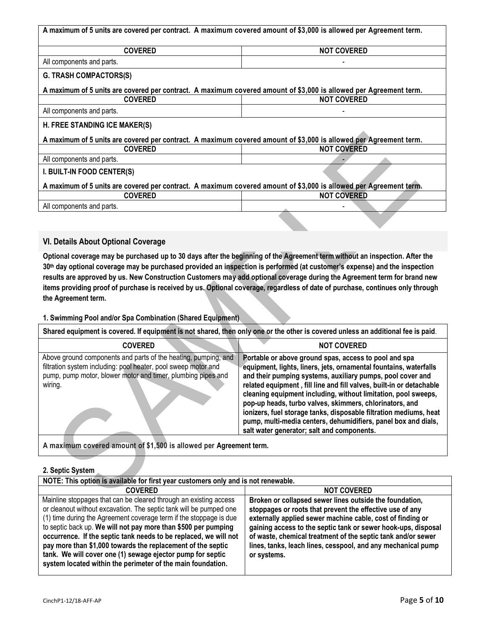| A maximum of 5 units are covered per contract. A maximum covered amount of \$3,000 is allowed per Agreement term. |                    |
|-------------------------------------------------------------------------------------------------------------------|--------------------|
| <b>COVERED</b>                                                                                                    | <b>NOT COVERED</b> |
| All components and parts.                                                                                         |                    |
| <b>G. TRASH COMPACTORS(S)</b>                                                                                     |                    |
| A maximum of 5 units are covered per contract. A maximum covered amount of \$3,000 is allowed per Agreement term. |                    |
| <b>COVERED</b>                                                                                                    | <b>NOT COVERED</b> |
| All components and parts.                                                                                         |                    |
| H. FREE STANDING ICE MAKER(S)                                                                                     |                    |
| A maximum of 5 units are covered per contract. A maximum covered amount of \$3,000 is allowed per Agreement term. |                    |
| <b>COVERED</b>                                                                                                    | <b>NOT COVERED</b> |
| All components and parts.                                                                                         |                    |
| I. BUILT-IN FOOD CENTER(S)                                                                                        |                    |
| A maximum of 5 units are covered per contract. A maximum covered amount of \$3,000 is allowed per Agreement term. |                    |
| <b>COVERED</b>                                                                                                    | <b>NOT COVERED</b> |
| All components and parts.                                                                                         |                    |
|                                                                                                                   |                    |

## <span id="page-4-0"></span>**VI. Details About Optional Coverage**

**Optional coverage may be purchased up to 30 days after the beginning of the Agreement term without an inspection. After the 30th day optional coverage may be purchased provided an inspection is performed (at customer's expense) and the inspection results are approved by us. New Construction Customers may add optional coverage during the Agreement term for brand new items providing proof of purchase is received by us. Optional coverage, regardless of date of purchase, continues only through the Agreement term.**

## <span id="page-4-1"></span>**1. Swimming Pool and/or Spa Combination (Shared Equipment)**

| Shared equipment is covered. If equipment is not shared, then only one or the other is covered unless an additional fee is paid.                                                                            |                                                                                                                                                                                                                                                                                                                                                                                                                                                                                                                                                                                    |
|-------------------------------------------------------------------------------------------------------------------------------------------------------------------------------------------------------------|------------------------------------------------------------------------------------------------------------------------------------------------------------------------------------------------------------------------------------------------------------------------------------------------------------------------------------------------------------------------------------------------------------------------------------------------------------------------------------------------------------------------------------------------------------------------------------|
| <b>COVERED</b>                                                                                                                                                                                              | <b>NOT COVERED</b>                                                                                                                                                                                                                                                                                                                                                                                                                                                                                                                                                                 |
| Above ground components and parts of the heating, pumping, and<br>filtration system including: pool heater, pool sweep motor and<br>pump, pump motor, blower motor and timer, plumbing pipes and<br>wiring. | Portable or above ground spas, access to pool and spa<br>equipment, lights, liners, jets, ornamental fountains, waterfalls<br>and their pumping systems, auxiliary pumps, pool cover and<br>related equipment, fill line and fill valves, built-in or detachable<br>cleaning equipment including, without limitation, pool sweeps,<br>pop-up heads, turbo valves, skimmers, chlorinators, and<br>ionizers, fuel storage tanks, disposable filtration mediums, heat<br>pump, multi-media centers, dehumidifiers, panel box and dials,<br>salt water generator; salt and components. |

**A maximum covered amount of \$1,500 is allowed per Agreement term.**

#### <span id="page-4-2"></span>**2. Septic System**

| NOTE: This option is available for first year customers only and is not renewable.                                                                                                                                                                                                                                                                                                                                                                                                                                                              |                                                                                                                                                                                                                                                                                                                                                                                                   |
|-------------------------------------------------------------------------------------------------------------------------------------------------------------------------------------------------------------------------------------------------------------------------------------------------------------------------------------------------------------------------------------------------------------------------------------------------------------------------------------------------------------------------------------------------|---------------------------------------------------------------------------------------------------------------------------------------------------------------------------------------------------------------------------------------------------------------------------------------------------------------------------------------------------------------------------------------------------|
| <b>COVERED</b>                                                                                                                                                                                                                                                                                                                                                                                                                                                                                                                                  | <b>NOT COVERED</b>                                                                                                                                                                                                                                                                                                                                                                                |
| Mainline stoppages that can be cleared through an existing access<br>or cleanout without excavation. The septic tank will be pumped one<br>(1) time during the Agreement coverage term if the stoppage is due<br>to septic back up. We will not pay more than \$500 per pumping<br>occurrence. If the septic tank needs to be replaced, we will not<br>pay more than \$1,000 towards the replacement of the septic<br>tank. We will cover one (1) sewage ejector pump for septic<br>system located within the perimeter of the main foundation. | Broken or collapsed sewer lines outside the foundation,<br>stoppages or roots that prevent the effective use of any<br>externally applied sewer machine cable, cost of finding or<br>gaining access to the septic tank or sewer hook-ups, disposal<br>of waste, chemical treatment of the septic tank and/or sewer<br>lines, tanks, leach lines, cesspool, and any mechanical pump<br>or systems. |

J.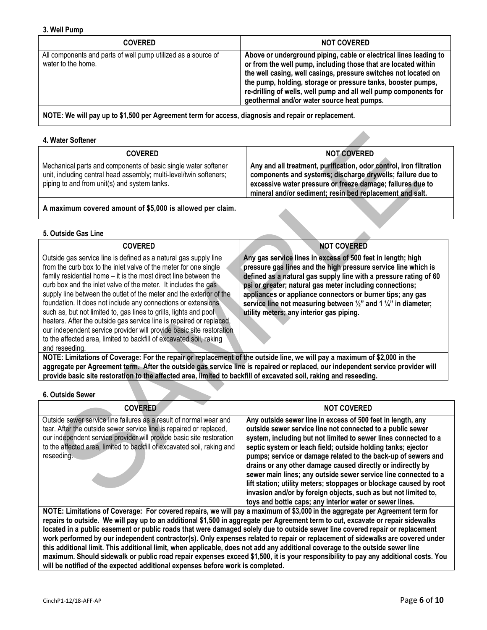<span id="page-5-0"></span>

| <b>COVERED</b>                                                                      | <b>NOT COVERED</b>                                                                                                                                                                                                                                                                                                                                                                       |
|-------------------------------------------------------------------------------------|------------------------------------------------------------------------------------------------------------------------------------------------------------------------------------------------------------------------------------------------------------------------------------------------------------------------------------------------------------------------------------------|
| All components and parts of well pump utilized as a source of<br>water to the home. | Above or underground piping, cable or electrical lines leading to<br>or from the well pump, including those that are located within<br>the well casing, well casings, pressure switches not located on<br>the pump, holding, storage or pressure tanks, booster pumps,<br>re-drilling of wells, well pump and all well pump components for<br>geothermal and/or water source heat pumps. |
|                                                                                     |                                                                                                                                                                                                                                                                                                                                                                                          |

**NOTE: We will pay up to \$1,500 per Agreement term for access, diagnosis and repair or replacement.**

#### <span id="page-5-1"></span>**4. Water Softener**

| <b>COVERED</b>                                                                                                                                                                       | <b>NOT COVERED</b>                                                                                                                                                                                                                                         |
|--------------------------------------------------------------------------------------------------------------------------------------------------------------------------------------|------------------------------------------------------------------------------------------------------------------------------------------------------------------------------------------------------------------------------------------------------------|
| Mechanical parts and components of basic single water softener<br>unit, including central head assembly; multi-level/twin softeners;<br>piping to and from unit(s) and system tanks. | Any and all treatment, purification, odor control, iron filtration<br>components and systems; discharge drywells; failure due to<br>excessive water pressure or freeze damage; failures due to<br>mineral and/or sediment; resin bed replacement and salt. |

**A maximum covered amount of \$5,000 is allowed per claim.**

#### <span id="page-5-2"></span>**5. Outside Gas Line**

| <b>COVERED</b>                                                                                                                                                                                                                                                                                                                                                                                                                                                                                                                                                                                                                                                                                                                   | <b>NOT COVERED</b>                                                                                                                                                                                                                                                                                                                                                                                                                                                |
|----------------------------------------------------------------------------------------------------------------------------------------------------------------------------------------------------------------------------------------------------------------------------------------------------------------------------------------------------------------------------------------------------------------------------------------------------------------------------------------------------------------------------------------------------------------------------------------------------------------------------------------------------------------------------------------------------------------------------------|-------------------------------------------------------------------------------------------------------------------------------------------------------------------------------------------------------------------------------------------------------------------------------------------------------------------------------------------------------------------------------------------------------------------------------------------------------------------|
| Outside gas service line is defined as a natural gas supply line<br>from the curb box to the inlet valve of the meter for one single<br>family residential home – it is the most direct line between the<br>curb box and the inlet valve of the meter. It includes the gas<br>supply line between the outlet of the meter and the exterior of the<br>foundation. It does not include any connections or extensions<br>such as, but not limited to, gas lines to grills, lights and pool<br>heaters. After the outside gas service line is repaired or replaced,<br>our independent service provider will provide basic site restoration<br>to the affected area, limited to backfill of excavated soil, raking<br>and reseeding. | Any gas service lines in excess of 500 feet in length; high<br>pressure gas lines and the high pressure service line which is<br>defined as a natural gas supply line with a pressure rating of 60<br>psi or greater; natural gas meter including connections;<br>appliances or appliance connectors or burner tips; any gas<br>service line not measuring between $\frac{1}{2}$ " and 1 $\frac{1}{4}$ " in diameter;<br>utility meters; any interior gas piping. |
| NOTE: Limitations of Coverage: For the repair or replacement of the outside line, we will pay a maximum of \$2,000 in the                                                                                                                                                                                                                                                                                                                                                                                                                                                                                                                                                                                                        |                                                                                                                                                                                                                                                                                                                                                                                                                                                                   |

**aggregate per Agreement term. After the outside gas service line is repaired or replaced, our independent service provider will provide basic site restoration to the affected area, limited to backfill of excavated soil, raking and reseeding.**

#### <span id="page-5-3"></span>**6. Outside Sewer**

| <b>COVERED</b>                                                                                                                                                                                                                                                                                             | <b>NOT COVERED</b>                                                                                                                                                                                                                                                                                                                                                                                                                                                                                                                                                                                                                                                   |
|------------------------------------------------------------------------------------------------------------------------------------------------------------------------------------------------------------------------------------------------------------------------------------------------------------|----------------------------------------------------------------------------------------------------------------------------------------------------------------------------------------------------------------------------------------------------------------------------------------------------------------------------------------------------------------------------------------------------------------------------------------------------------------------------------------------------------------------------------------------------------------------------------------------------------------------------------------------------------------------|
| Outside sewer service line failures as a result of normal wear and<br>tear. After the outside sewer service line is repaired or replaced,<br>our independent service provider will provide basic site restoration<br>to the affected area, limited to backfill of excavated soil, raking and<br>reseeding. | Any outside sewer line in excess of 500 feet in length, any<br>outside sewer service line not connected to a public sewer<br>system, including but not limited to sewer lines connected to a<br>septic system or leach field; outside holding tanks; ejector<br>pumps; service or damage related to the back-up of sewers and<br>drains or any other damage caused directly or indirectly by<br>sewer main lines; any outside sewer service line connected to a<br>lift station; utility meters; stoppages or blockage caused by root<br>invasion and/or by foreign objects, such as but not limited to,<br>toys and bottle caps; any interior water or sewer lines. |
| NOTE: Limitations of Coverage: For covered repairs, we will pay a maximum of \$3,000 in the aggregate per Agreement term for                                                                                                                                                                               |                                                                                                                                                                                                                                                                                                                                                                                                                                                                                                                                                                                                                                                                      |

**repairs to outside. We will pay up to an additional \$1,500 in aggregate per Agreement term to cut, excavate or repair sidewalks located in a public easement or public roads that were damaged solely due to outside sewer line covered repair or replacement work performed by our independent contractor(s). Only expenses related to repair or replacement of sidewalks are covered under this additional limit. This additional limit, when applicable, does not add any additional coverage to the outside sewer line maximum. Should sidewalk or public road repair expenses exceed \$1,500, it is your responsibility to pay any additional costs. You will be notified of the expected additional expenses before work is completed.**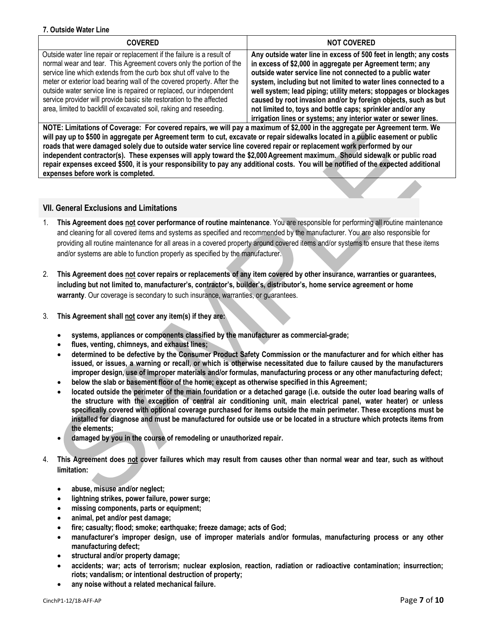#### <span id="page-6-0"></span>**7. Outside Water Line**

| <b>COVERED</b>                                                                                                                                                                                                                                                                                                                                                                                                                                                                                                     | <b>NOT COVERED</b>                                                                                                                                                                                                                                                                                                                                                                                                                                                                                                                     |
|--------------------------------------------------------------------------------------------------------------------------------------------------------------------------------------------------------------------------------------------------------------------------------------------------------------------------------------------------------------------------------------------------------------------------------------------------------------------------------------------------------------------|----------------------------------------------------------------------------------------------------------------------------------------------------------------------------------------------------------------------------------------------------------------------------------------------------------------------------------------------------------------------------------------------------------------------------------------------------------------------------------------------------------------------------------------|
| Outside water line repair or replacement if the failure is a result of<br>normal wear and tear. This Agreement covers only the portion of the<br>service line which extends from the curb box shut off valve to the<br>meter or exterior load bearing wall of the covered property. After the<br>outside water service line is repaired or replaced, our independent<br>service provider will provide basic site restoration to the affected<br>area, limited to backfill of excavated soil, raking and reseeding. | Any outside water line in excess of 500 feet in length; any costs<br>in excess of \$2,000 in aggregate per Agreement term; any<br>outside water service line not connected to a public water<br>system, including but not limited to water lines connected to a<br>well system; lead piping; utility meters; stoppages or blockages<br>caused by root invasion and/or by foreign objects, such as but<br>not limited to, toys and bottle caps; sprinkler and/or any<br>irrigation lines or systems; any interior water or sewer lines. |

**NOTE: Limitations of Coverage: For covered repairs, we will pay a maximum of \$2,000 in the aggregate per Agreement term. We will pay up to \$500 in aggregate per Agreement term to cut, excavate or repair sidewalks located in a public easement or public roads that were damaged solely due to outside water service line covered repair or replacement work performed by our independent contractor(s). These expenses will apply toward the \$2,000Agreement maximum. Should sidewalk or public road repair expenses exceed \$500, it is your responsibility to pay any additional costs. You will be notified of the expected additional expenses before work is completed.**

## <span id="page-6-1"></span>**VII. General Exclusions and Limitations**

- 1. **This Agreement does not cover performance of routine maintenance**. You are responsible for performing all routine maintenance and cleaning for all covered items and systems as specified and recommended by the manufacturer. You are also responsible for providing all routine maintenance for all areas in a covered property around covered items and/or systems to ensure that these items and/or systems are able to function properly as specified by the manufacturer.
- 2. **This Agreement does not cover repairs or replacements of any item covered by other insurance, warranties or guarantees, including but not limited to, manufacturer's, contractor's, builder's, distributor's, home service agreement or home warranty**. Our coverage is secondary to such insurance, warranties, or guarantees.
- 3. **This Agreement shall not cover any item(s) if they are:** 
	- **systems, appliances or components classified by the manufacturer as commercial-grade;**
	- **flues, venting, chimneys, and exhaust lines;**
	- **determined to be defective by the Consumer Product Safety Commission or the manufacturer and for which either has issued, or issues, a warning or recall, or which is otherwise necessitated due to failure caused by the manufacturers improper design, use of improper materials and/or formulas, manufacturing process or any other manufacturing defect;**
	- **below the slab or basement floor of the home; except as otherwise specified in this Agreement;**
	- **located outside the perimeter of the main foundation or a detached garage (i.e. outside the outer load bearing walls of the structure with the exception of central air conditioning unit, main electrical panel, water heater) or unless specifically covered with optional coverage purchased for items outside the main perimeter. These exceptions must be installed for diagnose and must be manufactured for outside use or be located in a structure which protects items from the elements;**
	- **damaged by you in the course of remodeling or unauthorized repair.**
- 4. **This Agreement does not cover failures which may result from causes other than normal wear and tear, such as without limitation:** 
	- **abuse, misuse and/or neglect;**
	- **lightning strikes, power failure, power surge;**
	- **missing components, parts or equipment;**
	- **animal, pet and/or pest damage;**
	- **fire; casualty; flood; smoke; earthquake; freeze damage; acts of God;**
	- **manufacturer's improper design, use of improper materials and/or formulas, manufacturing process or any other manufacturing defect;**
	- **structural and/or property damage;**
	- **accidents; war; acts of terrorism; nuclear explosion, reaction, radiation or radioactive contamination; insurrection; riots; vandalism; or intentional destruction of property;**
	- **any noise without a related mechanical failure.**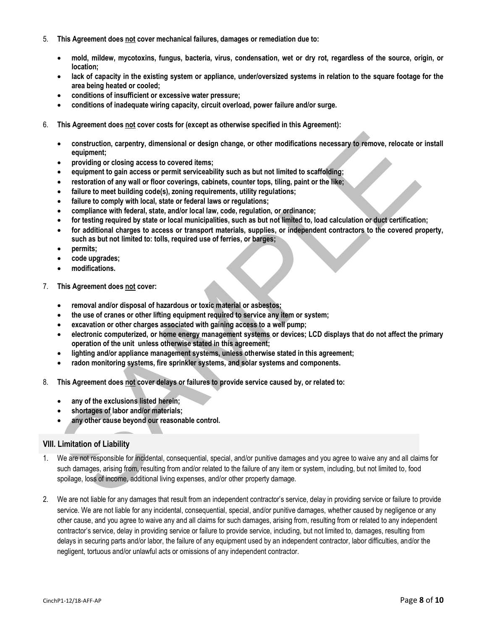- 5. **This Agreement does not cover mechanical failures, damages or remediation due to:**
	- **mold, mildew, mycotoxins, fungus, bacteria, virus, condensation, wet or dry rot, regardless of the source, origin, or location;**
	- **lack of capacity in the existing system or appliance, under/oversized systems in relation to the square footage for the area being heated or cooled;**
	- **conditions of insufficient or excessive water pressure;**
	- **conditions of inadequate wiring capacity, circuit overload, power failure and/or surge.**
- 6. **This Agreement does not cover costs for (except as otherwise specified in this Agreement):**
	- **construction, carpentry, dimensional or design change, or other modifications necessary to remove, relocate or install equipment;**
	- **providing or closing access to covered items;**
	- **equipment to gain access or permit serviceability such as but not limited to scaffolding;**
	- **restoration of any wall or floor coverings, cabinets, counter tops, tiling, paint or the like;**
	- **failure to meet building code(s), zoning requirements, utility regulations;**
	- **failure to comply with local, state or federal laws or regulations;**
	- **compliance with federal, state, and/or local law, code, regulation, or ordinance;**
	- **for testing required by state or local municipalities, such as but not limited to, load calculation or duct certification;**
	- **for additional charges to access or transport materials, supplies, or independent contractors to the covered property, such as but not limited to: tolls, required use of ferries, or barges;**
	- **permits;**
	- **code upgrades;**
	- **modifications.**
- 7. **This Agreement does not cover:** 
	- **removal and/or disposal of hazardous or toxic material or asbestos;**
	- **the use of cranes or other lifting equipment required to service any item or system;**
	- **excavation or other charges associated with gaining access to a well pump;**
	- **electronic computerized, or home energy management systems or devices; LCD displays that do not affect the primary operation of the unit unless otherwise stated in this agreement;**
	- **lighting and/or appliance management systems, unless otherwise stated in this agreement;**
	- **radon monitoring systems, fire sprinkler systems, and solar systems and components.**
- 8. **This Agreement does not cover delays or failures to provide service caused by, or related to:** 
	- **any of the exclusions listed herein;**
	- **shortages of labor and/or materials;**
	- **any other cause beyond our reasonable control.**

#### <span id="page-7-0"></span>**VIII. Limitation of Liability**

- 1. We are not responsible for incidental, consequential, special, and/or punitive damages and you agree to waive any and all claims for such damages, arising from, resulting from and/or related to the failure of any item or system, including, but not limited to, food spoilage, loss of income, additional living expenses, and/or other property damage.
- 2. We are not liable for any damages that result from an independent contractor's service, delay in providing service or failure to provide service. We are not liable for any incidental, consequential, special, and/or punitive damages, whether caused by negligence or any other cause, and you agree to waive any and all claims for such damages, arising from, resulting from or related to any independent contractor's service, delay in providing service or failure to provide service, including, but not limited to, damages, resulting from delays in securing parts and/or labor, the failure of any equipment used by an independent contractor, labor difficulties, and/or the negligent, tortuous and/or unlawful acts or omissions of any independent contractor.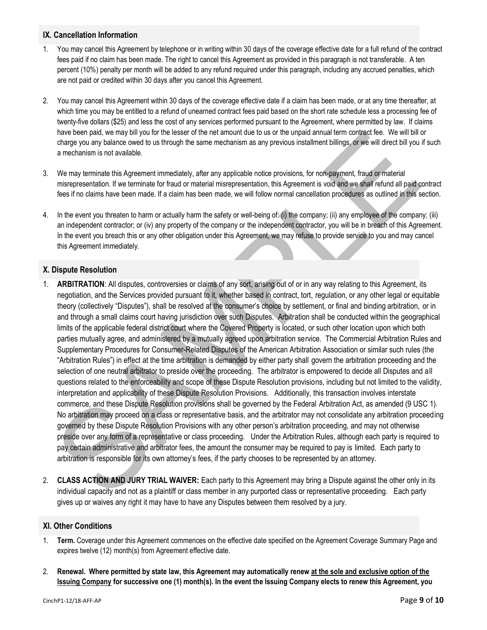## <span id="page-8-0"></span>**IX. Cancellation Information**

- 1. You may cancel this Agreement by telephone or in writing within 30 days of the coverage effective date for a full refund of the contract fees paid if no claim has been made. The right to cancel this Agreement as provided in this paragraph is not transferable. A ten percent (10%) penalty per month will be added to any refund required under this paragraph, including any accrued penalties, which are not paid or credited within 30 days after you cancel this Agreement.
- 2. You may cancel this Agreement within 30 days of the coverage effective date if a claim has been made, or at any time thereafter, at which time you may be entitled to a refund of unearned contract fees paid based on the short rate schedule less a processing fee of twenty-five dollars (\$25) and less the cost of any services performed pursuant to the Agreement, where permitted by law. If claims have been paid, we may bill you for the lesser of the net amount due to us or the unpaid annual term contract fee. We will bill or charge you any balance owed to us through the same mechanism as any previous installment billings, or we will direct bill you if such a mechanism is not available.
- 3. We may terminate this Agreement immediately, after any applicable notice provisions, for non-payment, fraud or material misrepresentation. If we terminate for fraud or material misrepresentation, this Agreement is void and we shall refund all paid contract fees if no claims have been made. If a claim has been made, we will follow normal cancellation procedures as outlined in this section.
- 4. In the event you threaten to harm or actually harm the safety or well-being of: (i) the company; (ii) any employee of the company; (iii) an independent contractor; or (iv) any property of the company or the independent contractor, you will be in breach of this Agreement. In the event you breach this or any other obligation under this Agreement, we may refuse to provide service to you and may cancel this Agreement immediately.

## <span id="page-8-1"></span>**X. Dispute Resolution**

- 1. **ARBITRATION**: All disputes, controversies or claims of any sort, arising out of or in any way relating to this Agreement, its negotiation, and the Services provided pursuant to it, whether based in contract, tort, regulation, or any other legal or equitable theory (collectively "Disputes"), shall be resolved at the consumer's choice by settlement, or final and binding arbitration, or in and through a small claims court having jurisdiction over such Disputes. Arbitration shall be conducted within the geographical limits of the applicable federal district court where the Covered Property is located, or such other location upon which both parties mutually agree, and administered by a mutually agreed upon arbitration service. The Commercial Arbitration Rules and Supplementary Procedures for Consumer-Related Disputes of the American Arbitration Association or similar such rules (the "Arbitration Rules") in effect at the time arbitration is demanded by either party shall govern the arbitration proceeding and the selection of one neutral arbitrator to preside over the proceeding. The arbitrator is empowered to decide all Disputes and all questions related to the enforceability and scope of these Dispute Resolution provisions, including but not limited to the validity, interpretation and applicability of these Dispute Resolution Provisions. Additionally, this transaction involves interstate commerce, and these Dispute Resolution provisions shall be governed by the Federal Arbitration Act, as amended (9 USC 1). No arbitration may proceed on a class or representative basis, and the arbitrator may not consolidate any arbitration proceeding governed by these Dispute Resolution Provisions with any other person's arbitration proceeding, and may not otherwise preside over any form of a representative or class proceeding. Under the Arbitration Rules, although each party is required to pay certain administrative and arbitrator fees, the amount the consumer may be required to pay is limited. Each party to arbitration is responsible for its own attorney's fees, if the party chooses to be represented by an attorney.
- 2. **CLASS ACTION AND JURY TRIAL WAIVER:** Each party to this Agreement may bring a Dispute against the other only in its individual capacity and not as a plaintiff or class member in any purported class or representative proceeding. Each party gives up or waives any right it may have to have any Disputes between them resolved by a jury.

## <span id="page-8-2"></span>**XI. Other Conditions**

- 1. **Term.** Coverage under this Agreement commences on the effective date specified on the Agreement Coverage Summary Page and expires twelve (12) month(s) from Agreement effective date.
- 2. **Renewal. Where permitted by state law, this Agreement may automatically renew at the sole and exclusive option of the Issuing Company for successive one (1) month(s). In the event the Issuing Company elects to renew this Agreement, you**